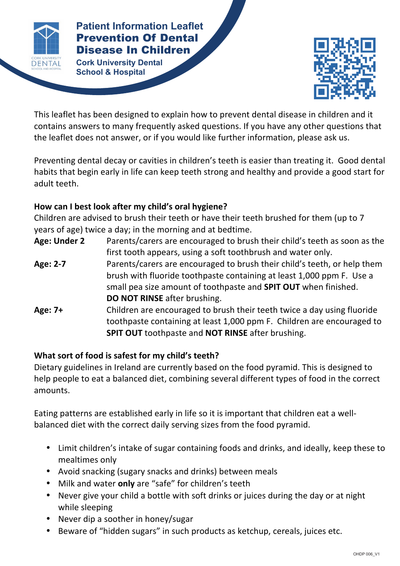

# **Patient Information Leaflet** Prevention Of Dental Disease In Children

**Cork University Dental School & Hospital**



This leaflet has been designed to explain how to prevent dental disease in children and it contains answers to many frequently asked questions. If you have any other questions that the leaflet does not answer, or if you would like further information, please ask us.

Preventing dental decay or cavities in children's teeth is easier than treating it. Good dental habits that begin early in life can keep teeth strong and healthy and provide a good start for adult teeth.

## How can I best look after my child's oral hygiene?

Children are advised to brush their teeth or have their teeth brushed for them (up to 7 years of age) twice a day; in the morning and at bedtime.

| Age: Under 2 | Parents/carers are encouraged to brush their child's teeth as soon as the |
|--------------|---------------------------------------------------------------------------|
|              | first tooth appears, using a soft toothbrush and water only.              |
| Age: 2-7     | Parents/carers are encouraged to brush their child's teeth, or help them  |
|              | brush with fluoride toothpaste containing at least 1,000 ppm F. Use a     |
|              | small pea size amount of toothpaste and <b>SPIT OUT</b> when finished.    |
|              | DO NOT RINSE after brushing.                                              |
| Age: 7+      | Children are encouraged to brush their teeth twice a day using fluoride   |
|              | toothpaste containing at least 1,000 ppm F. Children are encouraged to    |
|              | <b>SPIT OUT toothpaste and NOT RINSE after brushing.</b>                  |

### What sort of food is safest for my child's teeth?

Dietary guidelines in Ireland are currently based on the food pyramid. This is designed to help people to eat a balanced diet, combining several different types of food in the correct amounts. 

Eating patterns are established early in life so it is important that children eat a wellbalanced diet with the correct daily serving sizes from the food pyramid.

- Limit children's intake of sugar containing foods and drinks, and ideally, keep these to mealtimes only
- Avoid snacking (sugary snacks and drinks) between meals
- Milk and water **only** are "safe" for children's teeth
- Never give your child a bottle with soft drinks or juices during the day or at night while sleeping
- Never dip a soother in honey/sugar
- Beware of "hidden sugars" in such products as ketchup, cereals, juices etc.